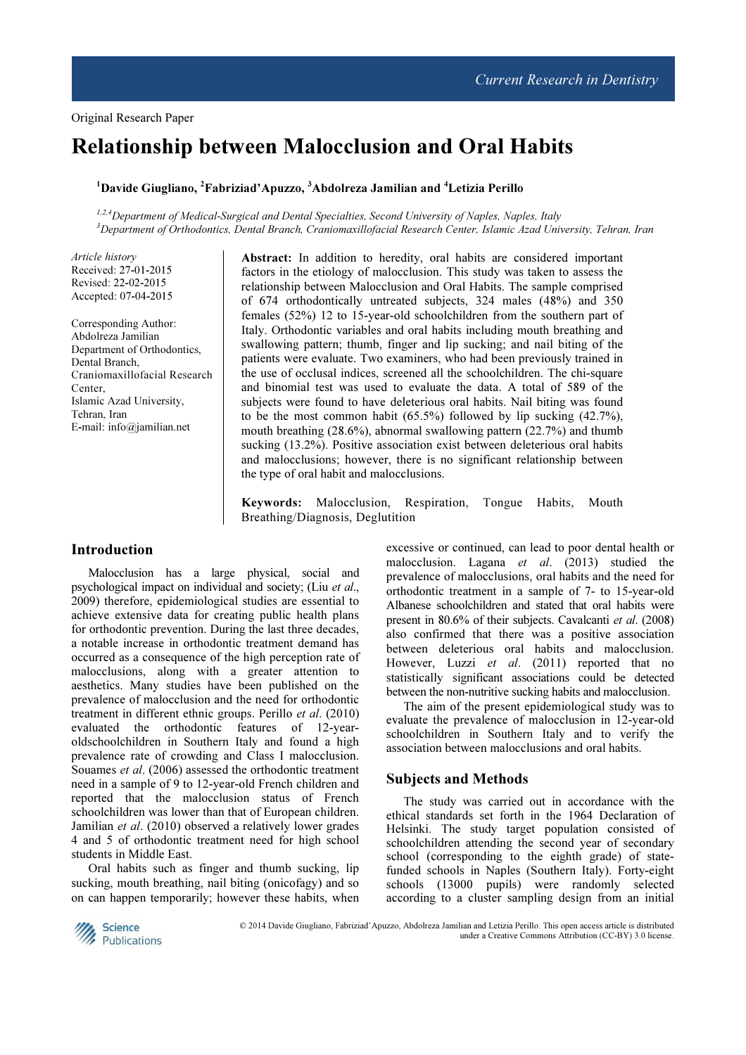# Relationship between Malocclusion and Oral Habits

# $1$ Davide Giugliano,  $2$ Fabriziad'Apuzzo,  $3$ Abdolreza Jamilian and  $4$ Letizia Perillo

1,2,4 Department of Medical-Surgical and Dental Specialties, Second University of Naples, Naples, Italy <sup>3</sup>Department of Orthodontics, Dental Branch, Craniomaxillofacial Research Center, Islamic Azad University, Tehran, Iran

Article history Received: 27-01-2015 Revised: 22-02-2015 Accepted: 07-04-2015

Corresponding Author: Abdolreza Jamilian Department of Orthodontics, Dental Branch, Craniomaxillofacial Research Center, Islamic Azad University, Tehran, Iran E-mail: info@jamilian.net

Abstract: In addition to heredity, oral habits are considered important factors in the etiology of malocclusion. This study was taken to assess the relationship between Malocclusion and Oral Habits. The sample comprised of 674 orthodontically untreated subjects, 324 males (48%) and 350 females (52%) 12 to 15-year-old schoolchildren from the southern part of Italy. Orthodontic variables and oral habits including mouth breathing and swallowing pattern; thumb, finger and lip sucking; and nail biting of the patients were evaluate. Two examiners, who had been previously trained in the use of occlusal indices, screened all the schoolchildren. The chi-square and binomial test was used to evaluate the data. A total of 589 of the subjects were found to have deleterious oral habits. Nail biting was found to be the most common habit (65.5%) followed by lip sucking (42.7%), mouth breathing (28.6%), abnormal swallowing pattern (22.7%) and thumb sucking (13.2%). Positive association exist between deleterious oral habits and malocclusions; however, there is no significant relationship between the type of oral habit and malocclusions.

Keywords: Malocclusion, Respiration, Tongue Habits, Mouth Breathing/Diagnosis, Deglutition

## Introduction

Malocclusion has a large physical, social and psychological impact on individual and society; (Liu et al., 2009) therefore, epidemiological studies are essential to achieve extensive data for creating public health plans for orthodontic prevention. During the last three decades, a notable increase in orthodontic treatment demand has occurred as a consequence of the high perception rate of malocclusions, along with a greater attention to aesthetics. Many studies have been published on the prevalence of malocclusion and the need for orthodontic treatment in different ethnic groups. Perillo et al. (2010) evaluated the orthodontic features of 12-yearoldschoolchildren in Southern Italy and found a high prevalence rate of crowding and Class I malocclusion. Souames et al. (2006) assessed the orthodontic treatment need in a sample of 9 to 12-year-old French children and reported that the malocclusion status of French schoolchildren was lower than that of European children. Jamilian et al. (2010) observed a relatively lower grades 4 and 5 of orthodontic treatment need for high school students in Middle East.

Oral habits such as finger and thumb sucking, lip sucking, mouth breathing, nail biting (onicofagy) and so on can happen temporarily; however these habits, when excessive or continued, can lead to poor dental health or malocclusion. Lagana et al. (2013) studied the prevalence of malocclusions, oral habits and the need for orthodontic treatment in a sample of 7- to 15-year-old Albanese schoolchildren and stated that oral habits were present in 80.6% of their subjects. Cavalcanti et al. (2008) also confirmed that there was a positive association between deleterious oral habits and malocclusion. However, Luzzi et al. (2011) reported that no statistically significant associations could be detected between the non-nutritive sucking habits and malocclusion.

The aim of the present epidemiological study was to evaluate the prevalence of malocclusion in 12-year-old schoolchildren in Southern Italy and to verify the association between malocclusions and oral habits.

#### Subjects and Methods

The study was carried out in accordance with the ethical standards set forth in the 1964 Declaration of Helsinki. The study target population consisted of schoolchildren attending the second year of secondary school (corresponding to the eighth grade) of statefunded schools in Naples (Southern Italy). Forty-eight schools (13000 pupils) were randomly selected according to a cluster sampling design from an initial



© 2014 Davide Giugliano, Fabriziad'Apuzzo, Abdolreza Jamilian and Letizia Perillo. This open access article is distributed under a Creative Commons Attribution (CC-BY) 3.0 license.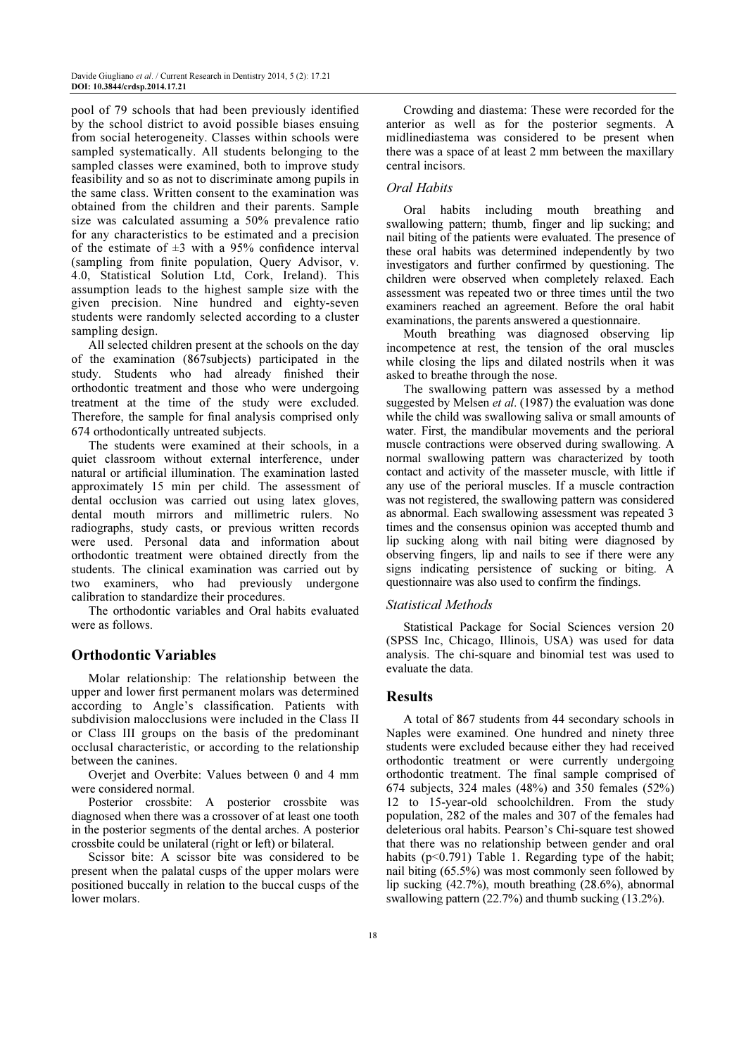pool of 79 schools that had been previously identified by the school district to avoid possible biases ensuing from social heterogeneity. Classes within schools were sampled systematically. All students belonging to the sampled classes were examined, both to improve study feasibility and so as not to discriminate among pupils in the same class. Written consent to the examination was obtained from the children and their parents. Sample size was calculated assuming a 50% prevalence ratio for any characteristics to be estimated and a precision of the estimate of  $\pm 3$  with a 95% confidence interval (sampling from finite population, Query Advisor, v. 4.0, Statistical Solution Ltd, Cork, Ireland). This assumption leads to the highest sample size with the given precision. Nine hundred and eighty-seven students were randomly selected according to a cluster sampling design.

All selected children present at the schools on the day of the examination (867subjects) participated in the study. Students who had already finished their orthodontic treatment and those who were undergoing treatment at the time of the study were excluded. Therefore, the sample for final analysis comprised only 674 orthodontically untreated subjects.

The students were examined at their schools, in a quiet classroom without external interference, under natural or artificial illumination. The examination lasted approximately 15 min per child. The assessment of dental occlusion was carried out using latex gloves, dental mouth mirrors and millimetric rulers. No radiographs, study casts, or previous written records were used. Personal data and information about orthodontic treatment were obtained directly from the students. The clinical examination was carried out by two examiners, who had previously undergone calibration to standardize their procedures.

The orthodontic variables and Oral habits evaluated were as follows.

## Orthodontic Variables

Molar relationship: The relationship between the upper and lower first permanent molars was determined according to Angle's classification. Patients with subdivision malocclusions were included in the Class II or Class III groups on the basis of the predominant occlusal characteristic, or according to the relationship between the canines.

Overiet and Overbite: Values between 0 and 4 mm were considered normal.

Posterior crossbite: A posterior crossbite was diagnosed when there was a crossover of at least one tooth in the posterior segments of the dental arches. A posterior crossbite could be unilateral (right or left) or bilateral.

Scissor bite: A scissor bite was considered to be present when the palatal cusps of the upper molars were positioned buccally in relation to the buccal cusps of the lower molars.

Crowding and diastema: These were recorded for the anterior as well as for the posterior segments. A midlinediastema was considered to be present when there was a space of at least 2 mm between the maxillary central incisors.

### Oral Habits

Oral habits including mouth breathing and swallowing pattern; thumb, finger and lip sucking; and nail biting of the patients were evaluated. The presence of these oral habits was determined independently by two investigators and further confirmed by questioning. The children were observed when completely relaxed. Each assessment was repeated two or three times until the two examiners reached an agreement. Before the oral habit examinations, the parents answered a questionnaire.

Mouth breathing was diagnosed observing lip incompetence at rest, the tension of the oral muscles while closing the lips and dilated nostrils when it was asked to breathe through the nose.

The swallowing pattern was assessed by a method suggested by Melsen *et al.* (1987) the evaluation was done while the child was swallowing saliva or small amounts of water. First, the mandibular movements and the perioral muscle contractions were observed during swallowing. A normal swallowing pattern was characterized by tooth contact and activity of the masseter muscle, with little if any use of the perioral muscles. If a muscle contraction was not registered, the swallowing pattern was considered as abnormal. Each swallowing assessment was repeated 3 times and the consensus opinion was accepted thumb and lip sucking along with nail biting were diagnosed by observing fingers, lip and nails to see if there were any signs indicating persistence of sucking or biting. A questionnaire was also used to confirm the findings.

#### Statistical Methods

Statistical Package for Social Sciences version 20 (SPSS Inc, Chicago, Illinois, USA) was used for data analysis. The chi-square and binomial test was used to evaluate the data.

### **Results**

A total of 867 students from 44 secondary schools in Naples were examined. One hundred and ninety three students were excluded because either they had received orthodontic treatment or were currently undergoing orthodontic treatment. The final sample comprised of 674 subjects, 324 males (48%) and 350 females (52%) 12 to 15-year-old schoolchildren. From the study population, 282 of the males and 307 of the females had deleterious oral habits. Pearson's Chi-square test showed that there was no relationship between gender and oral habits (p<0.791) Table 1. Regarding type of the habit; nail biting (65.5%) was most commonly seen followed by lip sucking (42.7%), mouth breathing (28.6%), abnormal swallowing pattern (22.7%) and thumb sucking (13.2%).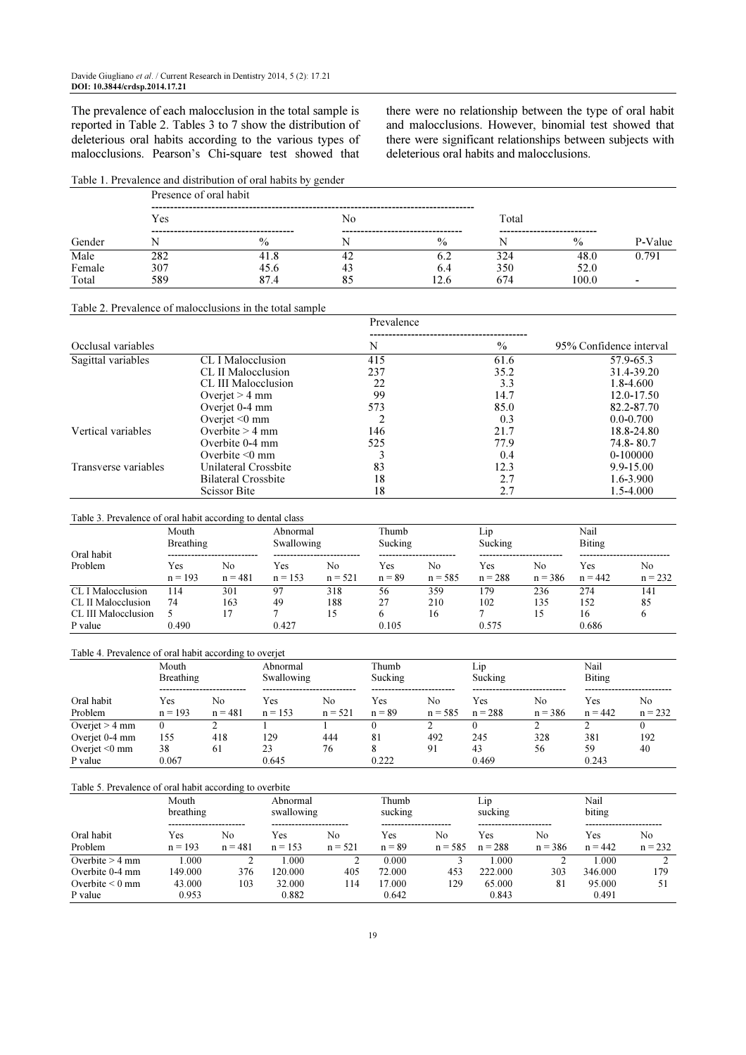The prevalence of each malocclusion in the total sample is reported in Table 2. Tables 3 to 7 show the distribution of deleterious oral habits according to the various types of malocclusions. Pearson's Chi-square test showed that

there were no relationship between the type of oral habit and malocclusions. However, binomial test showed that there were significant relationships between subjects with deleterious oral habits and malocclusions.

## Table 1. Prevalence and distribution of oral habits by gender

| Gender |     | Presence of oral habit                               |    |                                               |       |                                          |         |  |  |  |  |  |  |
|--------|-----|------------------------------------------------------|----|-----------------------------------------------|-------|------------------------------------------|---------|--|--|--|--|--|--|
|        | Yes |                                                      | No |                                               | Total |                                          |         |  |  |  |  |  |  |
|        |     | -----------------------------------<br>$\frac{0}{0}$ |    | ----------------------------<br>$\frac{0}{0}$ |       | -----------------------<br>$\frac{0}{0}$ | P-Value |  |  |  |  |  |  |
| Male   | 282 | 41.8                                                 | 42 | 0.2                                           | 324   | 48.0                                     | 0.791   |  |  |  |  |  |  |
| Female | 307 | 45.6                                                 | 43 | 6.4                                           | 350   | 52.0                                     |         |  |  |  |  |  |  |
| Total  | 589 | 87.4                                                 | 85 | 12.6                                          | 674   | 100.0                                    |         |  |  |  |  |  |  |

#### Table 2. Prevalence of malocclusions in the total sample

|                      |                      | Prevalence                                            |      |                         |
|----------------------|----------------------|-------------------------------------------------------|------|-------------------------|
|                      |                      |                                                       |      |                         |
| Occlusal variables   |                      | N                                                     | $\%$ | 95% Confidence interval |
| Sagittal variables   | CL I Malocclusion    | 415                                                   | 61.6 | 57.9-65.3               |
|                      | CL II Malocclusion   | 237<br>22<br>99<br>573<br>າ<br>146<br>525<br>83<br>18 | 35.2 | 31.4-39.20              |
|                      | CL III Malocclusion  |                                                       | 3.3  | 1.8-4.600               |
|                      | Overjet $> 4$ mm     |                                                       | 14.7 | 12.0-17.50              |
|                      | Overjet 0-4 mm       |                                                       | 85.0 | 82.2-87.70              |
|                      | Overjet $\leq 0$ mm  |                                                       | 0.3  | $0.0 - 0.700$           |
| Vertical variables   | Overbite $> 4$ mm    |                                                       | 21.7 | 18.8-24.80              |
|                      | Overbite 0-4 mm      |                                                       | 77.9 | 74.8-80.7               |
|                      | Overbite $\leq 0$ mm |                                                       | 0.4  | 0-100000                |
| Transverse variables | Unilateral Crossbite |                                                       | 12.3 | 9.9-15.00               |
|                      | Bilateral Crossbite  |                                                       | 2.7  | 1.6-3.900               |
|                      | <b>Scissor Bite</b>  | 18                                                    | 2.7  | 1.5-4.000               |

#### Table 3. Prevalence of oral habit according to dental class

|                     | Mouth<br>Breathing |                 | Abnormal<br>Swallowing |                 | Thumb<br>Sucking |                 | L1D<br>Sucking   |                 | Nail<br><b>Biting</b> |                 |
|---------------------|--------------------|-----------------|------------------------|-----------------|------------------|-----------------|------------------|-----------------|-----------------------|-----------------|
| Oral habit          |                    |                 |                        | --------------- |                  |                 |                  |                 |                       |                 |
| Problem             | Yes<br>$n = 193$   | No<br>$n = 481$ | Yes<br>$n = 153$       | No<br>$n = 521$ | Yes<br>$n = 89$  | Nο<br>$n = 585$ | Yes<br>$n = 288$ | No<br>$n = 386$ | Yes<br>$n = 442$      | No<br>$n = 232$ |
| CL I Malocclusion   | 114                | 301             | 97                     | 318             | 56               | 359             | 179              | 236             | 274                   | 141             |
| CL II Malocclusion  | 74                 | 163             | 49                     | 188             | 27               | 210             | 102              | 135             | 152                   | 85              |
| CL III Malocclusion |                    |                 |                        | 15              |                  | 16              |                  | 15              | 16                    |                 |
| P value             | 0.490              |                 | 0.427                  |                 | 0.105            |                 | 0.575            |                 | 0.686                 |                 |

| Table 4. Prevalence of oral habit according to overjet |                  |           |            |           |          |           |           |           |               |           |
|--------------------------------------------------------|------------------|-----------|------------|-----------|----------|-----------|-----------|-----------|---------------|-----------|
|                                                        | Mouth            |           | Abnormal   |           | Thumb    |           | Lip.      |           | Nail          |           |
|                                                        | <b>Breathing</b> |           | Swallowing |           | Sucking  |           | Sucking   |           | <b>Biting</b> |           |
| Oral habit                                             | Yes              | Nο        | Yes        | No        | Yes      | No        | Yes       | No        | Yes           | No.       |
| Problem                                                | $n = 193$        | $n = 481$ | $n = 153$  | $n = 521$ | $n = 89$ | $n = 585$ | $n = 288$ | $n = 386$ | $n = 442$     | $n = 232$ |
| Overjet $> 4$ mm                                       |                  |           |            |           |          |           |           |           |               |           |
| Overjet 0-4 mm                                         | 155              | 418       | 129        | 444       | 81       | 492       | 245       | 328       | 381           | 192       |
| Overjet $\leq 0$ mm                                    | 38               | 61        | 23         | 76        |          | 91        | 43        | 56        | 59            | 40        |
| P value                                                | 0.067            |           | 0.645      |           | 0.222    |           | 0.469     |           | 0.243         |           |

#### Table 5. Prevalence of oral habit according to overbite

|                      | Mouth<br>breathing   |           | Abnormal<br>swallowing |           | Thumb<br>sucking |           | $\sqcup$ 1D<br>sucking |           | Nail<br>biting |           |
|----------------------|----------------------|-----------|------------------------|-----------|------------------|-----------|------------------------|-----------|----------------|-----------|
|                      | -------------------- |           |                        |           |                  |           |                        |           |                |           |
| Oral habit           | Yes                  | Nο        | Yes                    | No        | Yes              | No        | Yes                    | No        | Yes            | No        |
| Problem              | $n = 193$            | $n = 481$ | $n = 153$              | $n = 521$ | $n = 89$         | $n = 585$ | $n = 288$              | $n = 386$ | $n = 442$      | $n = 232$ |
| Overbite $> 4$ mm    | 1.000                |           | .000                   |           | 0.000            |           | 000.1                  |           | 0.0001         |           |
| Overbite 0-4 mm      | 149.000              | 376       | 120.000                | 405       | 72.000           | 453       | 222.000                | 303       | 346.000        | 179       |
| Overbite $\leq 0$ mm | 43.000               | 103       | 32.000                 | 114       | 17.000           | 129       | 65.000                 | 81        | 95.000         |           |
| P value              | 0.953                |           | 0.882                  |           | 0.642            |           | 0.843                  |           | 0.491          |           |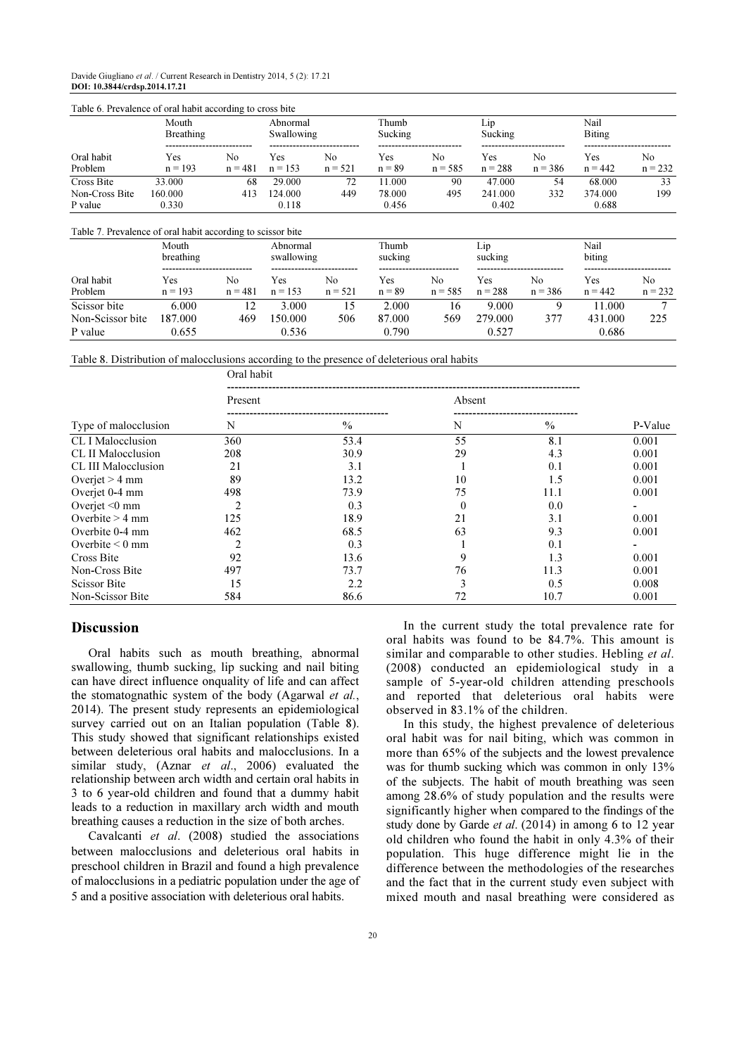| Table 6. Prevalence of oral habit according to cross bite   |                            |                             |                            |                             |                           |                  |                            |                             |                            |                             |
|-------------------------------------------------------------|----------------------------|-----------------------------|----------------------------|-----------------------------|---------------------------|------------------|----------------------------|-----------------------------|----------------------------|-----------------------------|
|                                                             | Mouth<br><b>Breathing</b>  |                             | Abnormal<br>Swallowing     |                             | Thumb<br>Sucking          |                  | Lip<br>Sucking             |                             | Nail<br><b>Biting</b>      |                             |
| Oral habit<br>Problem                                       | <b>Yes</b><br>$n = 193$    | No<br>$n = 481$             | <b>Yes</b><br>$n = 153$    | N <sub>0</sub><br>$n = 521$ | <b>Yes</b><br>$n = 89$    | No.<br>$n = 585$ | Yes<br>$n = 288$           | N <sub>0</sub><br>$n = 386$ | Yes<br>$n = 442$           | N <sub>0</sub><br>$n = 232$ |
| Cross Bite<br>Non-Cross Bite<br>P value                     | 33.000<br>160.000<br>0.330 | 68<br>413                   | 29.000<br>124.000<br>0.118 | 72<br>449                   | 11.000<br>78.000<br>0.456 | 90<br>495        | 47.000<br>241.000<br>0.402 | 54<br>332                   | 68.000<br>374.000<br>0.688 | 33<br>199                   |
| Table 7. Prevalence of oral habit according to scissor bite |                            |                             |                            |                             |                           |                  |                            |                             |                            |                             |
|                                                             | Mouth<br>breathing         |                             | Abnormal<br>swallowing     |                             | Thumb<br>sucking          |                  | Lip<br>sucking             |                             | Nail<br>biting             |                             |
| Oral habit<br>Problem                                       | Yes<br>$n = 193$           | N <sub>0</sub><br>$n = 481$ | Yes<br>$n = 153$           | N <sub>0</sub><br>$n = 521$ | Yes<br>$n = 89$           | No.<br>$n = 585$ | Yes<br>$n = 288$           | N <sub>0</sub><br>$n = 386$ | Yes<br>$n = 442$           | No.<br>$n = 232$            |
| Scissor bite<br>Non-Scissor bite                            | 6.000<br>187.000           | 12<br>469                   | 3.000<br>150.000           | 15<br>506                   | 2.000<br>87.000           | 16<br>569        | 9.000<br>279.000           | 9<br>377                    | 11.000<br>431.000          | 7<br>225                    |

P value 0.655 0.536 0.790 0.527 0.686

Table 8. Distribution of malocclusions according to the presence of deleterious oral habits

|                      | Oral habit     |               |          |               |         |  |  |  |  |
|----------------------|----------------|---------------|----------|---------------|---------|--|--|--|--|
|                      | Present        |               | Absent   |               |         |  |  |  |  |
| Type of malocclusion | N              | $\frac{0}{0}$ | N        | $\frac{0}{0}$ | P-Value |  |  |  |  |
| CL I Malocclusion    | 360            | 53.4          | 55       | 8.1           | 0.001   |  |  |  |  |
| CL II Malocclusion   | 208            | 30.9          | 29       | 4.3           | 0.001   |  |  |  |  |
| CL III Malocclusion  | 21             | 3.1           |          | 0.1           | 0.001   |  |  |  |  |
| Overjet $> 4$ mm     | 89             | 13.2          | 10       | 1.5           | 0.001   |  |  |  |  |
| Overjet 0-4 mm       | 498            | 73.9          | 75       | 11.1          | 0.001   |  |  |  |  |
| Overjet $\leq 0$ mm  | $\overline{c}$ | 0.3           | $\theta$ | 0.0           |         |  |  |  |  |
| Overbite $> 4$ mm    | 125            | 18.9          | 21       | 3.1           | 0.001   |  |  |  |  |
| Overbite 0-4 mm      | 462            | 68.5          | 63       | 9.3           | 0.001   |  |  |  |  |
| Overbite $\leq 0$ mm |                | 0.3           |          | 0.1           |         |  |  |  |  |
| Cross Bite           | 92             | 13.6          | 9        | 1.3           | 0.001   |  |  |  |  |
| Non-Cross Bite       | 497            | 73.7          | 76       | 11.3          | 0.001   |  |  |  |  |
| <b>Scissor Bite</b>  | 15             | 2.2           | 3        | 0.5           | 0.008   |  |  |  |  |
| Non-Scissor Bite     | 584            | 86.6          | 72       | 10.7          | 0.001   |  |  |  |  |

## Discussion

Oral habits such as mouth breathing, abnormal swallowing, thumb sucking, lip sucking and nail biting can have direct influence onquality of life and can affect the stomatognathic system of the body (Agarwal *et al.*, 2014). The present study represents an epidemiological survey carried out on an Italian population (Table 8). This study showed that significant relationships existed between deleterious oral habits and malocclusions. In a similar study, (Aznar et al., 2006) evaluated the relationship between arch width and certain oral habits in 3 to 6 year-old children and found that a dummy habit leads to a reduction in maxillary arch width and mouth breathing causes a reduction in the size of both arches.

Cavalcanti et al. (2008) studied the associations between malocclusions and deleterious oral habits in preschool children in Brazil and found a high prevalence of malocclusions in a pediatric population under the age of 5 and a positive association with deleterious oral habits.

In the current study the total prevalence rate for oral habits was found to be 84.7%. This amount is similar and comparable to other studies. Hebling *et al.* (2008) conducted an epidemiological study in a sample of 5-year-old children attending preschools and reported that deleterious oral habits were observed in 83.1% of the children.

In this study, the highest prevalence of deleterious oral habit was for nail biting, which was common in more than 65% of the subjects and the lowest prevalence was for thumb sucking which was common in only 13% of the subjects. The habit of mouth breathing was seen among 28.6% of study population and the results were significantly higher when compared to the findings of the study done by Garde *et al.* (2014) in among 6 to 12 year old children who found the habit in only 4.3% of their population. This huge difference might lie in the difference between the methodologies of the researches and the fact that in the current study even subject with mixed mouth and nasal breathing were considered as